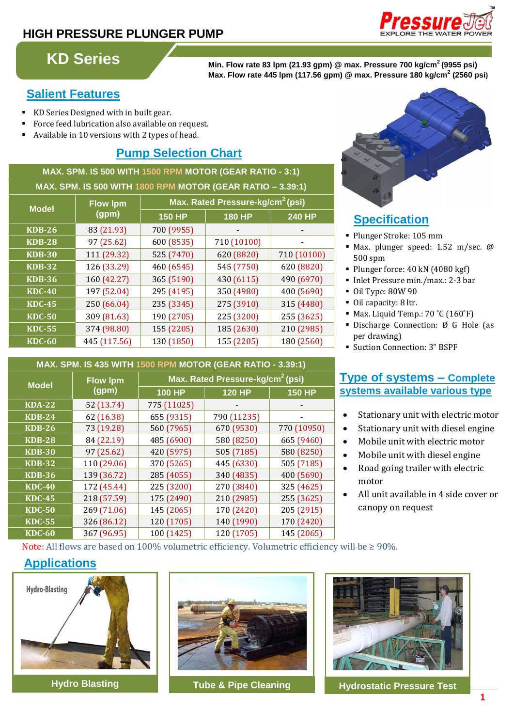### **HIGH PRESSURE PLUNGER PUMP**



## **KD Series**

**Min. Flow rate 83 lpm (21.93 gpm) @ max. Pressure 700 kg/cm<sup>2</sup>(9955 psi) Max. Flow rate 445 lpm (117.56 gpm) @ max. Pressure 180 kg/cm<sup>2</sup> (2560 psi)**

### **Salient Features**

- KD Series Designed with in built gear.
- Force feed lubrication also available on request.
- Available in 10 versions with 2 types of head.

### **Pump Selection Chart**

**MAX. SPM. IS 500 WITH 1500 RPM MOTOR (GEAR RATIO - 3:1) MAX. SPM. IS 500 WITH 1800 RPM MOTOR (GEAR RATIO – 3.39:1)**

| <b>Model</b>  | <b>Flow Ipm</b><br>(gpm) | Max. Rated Pressure-kg/cm <sup>2</sup> (psi) |               |               |
|---------------|--------------------------|----------------------------------------------|---------------|---------------|
|               |                          | <b>150 HP</b>                                | <b>180 HP</b> | <b>240 HP</b> |
| <b>KDB-26</b> | 83 (21.93)               | 700 (9955)                                   |               |               |
| <b>KDB-28</b> | 97 (25.62)               | 600 (8535)                                   | 710 (10100)   |               |
| <b>KDB-30</b> | 111 (29.32)              | 525 (7470)                                   | 620 (8820)    | 710 (10100)   |
| <b>KDB-32</b> | 126 (33.29)              | 460 (6545)                                   | 545 (7750)    | 620 (8820)    |
| <b>KDB-36</b> | 160 (42.27)              | 365 (5190)                                   | 430 (6115)    | 490 (6970)    |
| <b>KDC-40</b> | 197 (52.04)              | 295 (4195)                                   | 350 (4980)    | 400 (5690)    |
| <b>KDC-45</b> | 250 (66.04)              | 235 (3345)                                   | 275 (3910)    | 315 (4480)    |
| <b>KDC-50</b> | 309 (81.63)              | 190 (2705)                                   | 225 (3200)    | 255 (3625)    |
| <b>KDC-55</b> | 374 (98.80)              | 155 (2205)                                   | 185 (2630)    | 210 (2985)    |
| <b>KDC-60</b> | 445 (117.56)             | 130 (1850)                                   | 155 (2205)    | 180 (2560)    |

### **Specification:**

- Plunger Stroke: 105 mm
- Max. plunger speed: 1.52 m/sec. @ 500 spm
- Plunger force: 40 kN (4080 kgf)
- Inlet Pressure min./max.: 2-3 bar
- Oil Type: 80W 90
- Oil capacity: 8 ltr.
- $\blacksquare$  Max. Liquid Temp.: 70 °C (160°F)
- Discharge Connection: Ø G Hole (as per drawing)
- Suction Connection: 3" BSPF

#### **MAX. SPM. IS 435 WITH 1500 RPM MOTOR (GEAR RATIO - 3.39:1) Model Flow lpm (gpm) Max. Rated Pressure-kg/cm<sup>2</sup>(psi) 100 HP 120 HP 150 HP KDA-22** 52 (13.74) 775 (11025) **KDB-24** 62 (16.38) 655 (9315) 790 (11235) **KDB-26** 73 (19.28) 560 (7965) 670 (9530) 770 (10950) **KDB-28** 84 (22.19) 485 (6900) 580 (8250) 665 (9460)

**KDB-30** 97 (25.62) 420 (5975) 505 (7185) 580 (8250) **KDB-32** 110 (29.06) 370 (5265) 445 (6330) 505 (7185) **KDB-36** 139 (36.72) 285 (4055) 340 (4835) 400 (5690) **KDC-40** 172 (45.44) 225 (3200) 270 (3840) 325 (4625) **KDC-45** 218 (57.59) 175 (2490) 210 (2985) 255 (3625) **KDC-50** 269 (71.06) 145 (2065) 170 (2420) 205 (2915) **KDC-55** 326 (86.12) 120 (1705) 140 (1990) 170 (2420) **KDC-60** 367 (96.95) 100 (1425) 120 (1705) 145 (2065)

### **Type of systems – Complete systems available various type**

- Stationary unit with electric motor
- Stationary unit with diesel engine
- Mobile unit with electric motor
- Mobile unit with diesel engine
- Road going trailer with electric motor
- All unit available in 4 side cover or canopy on request

Note: All flows are based on 100% volumetric efficiency. Volumetric efficiency will be  $\geq 90\%$ .

### **Applications**





**Tube & Pipe Cleaning**



**Hydro Blasting Hydrostatic Pressure Test**